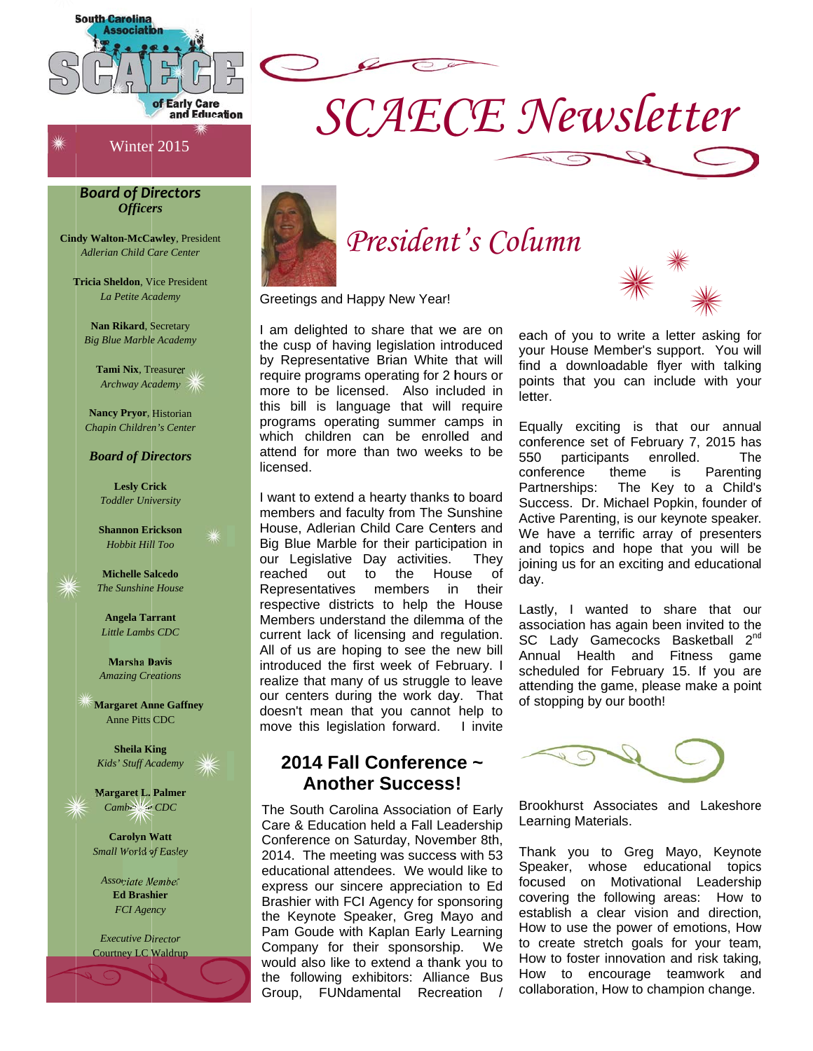

Winter 2015

#### **Board of Directors** *Officers*

**Cindy Walton-McCawley**, President Adlerian Child Care Center

**Tricia Sheldon.** Vice President La Petite Academy

Nan Rikard, Secretary **Big Blue Marble Academy** 

Tami Nix. Treasurer Archway Academy

**Nancy Pryor, Historian** Chapin Children's Center

#### **Board of Directors**

**Lesly Crick Toddler University** 

**Shannon Erickson** Hobbit Hill Too



**Michelle Salcedo** The Sunshine House

**Angela Tarrant** Little Lambs CDC

**Marsha Davis Amazing Creations** 

**Margaret Anne Gaffney Anne Pitts CDC** 

**Sheila King** Kids' Stuff Academy

**Margaret L. Palmer** Camberlage CDC

**Carolyn Watt** Small World of Easley

Associate Member **Ed Brashier FCI** Agency

**Executive Director Courtney LC Waldrup** 



# President's Column

**SCAECE Newsletter** 

Greetings and Happy New Year!

I am delighted to share that we are on the cusp of having legislation introduced by Representative Brian White that will require programs operating for 2 hours or more to be licensed. Also included in this bill is language that will require programs operating summer camps in which children can be enrolled and attend for more than two weeks to be licensed.

I want to extend a hearty thanks to board members and faculty from The Sunshine House, Adlerian Child Care Centers and Big Blue Marble for their participation in our Legislative Day activities. Thev reached out to the House 0f Representatives members in their respective districts to help the House Members understand the dilemma of the current lack of licensing and regulation. All of us are hoping to see the new bill introduced the first week of February. I realize that many of us struggle to leave our centers during the work day. That doesn't mean that you cannot help to move this legislation forward. I invite

## 2014 Fall Conference ~ **Another Success!**

The South Carolina Association of Early Care & Education held a Fall Leadership Conference on Saturday, November 8th, 2014. The meeting was success with 53 educational attendees. We would like to express our sincere appreciation to Ed Brashier with FCI Agency for sponsoring the Keynote Speaker, Greg Mayo and Pam Goude with Kaplan Early Learning Company for their sponsorship. We would also like to extend a thank you to the following exhibitors: Alliance Bus Group, FUNdamental Recreation /



each of you to write a letter asking for your House Member's support. You will find a downloadable flyer with talking points that you can include with your letter.

Equally exciting is that our annual conference set of February 7, 2015 has 550 participants enrolled. **The** conference theme is Parenting Partnerships: The Key to a Child's Success. Dr. Michael Popkin, founder of Active Parenting, is our keynote speaker. We have a terrific array of presenters and topics and hope that you will be joining us for an exciting and educational day.

Lastly, I wanted to share that our association has again been invited to the SC Lady Gamecocks Basketball 2<sup>nd</sup> Annual Health and Fitness game scheduled for February 15. If you are attending the game, please make a point of stopping by our booth!

Brookhurst Associates and Lakeshore Learning Materials.

Thank you to Greg Mayo, Keynote Speaker, whose educational topics focused on Motivational Leadership covering the following areas: How to establish a clear vision and direction, How to use the power of emotions, How to create stretch goals for your team, How to foster innovation and risk taking, How to encourage teamwork and collaboration, How to champion change.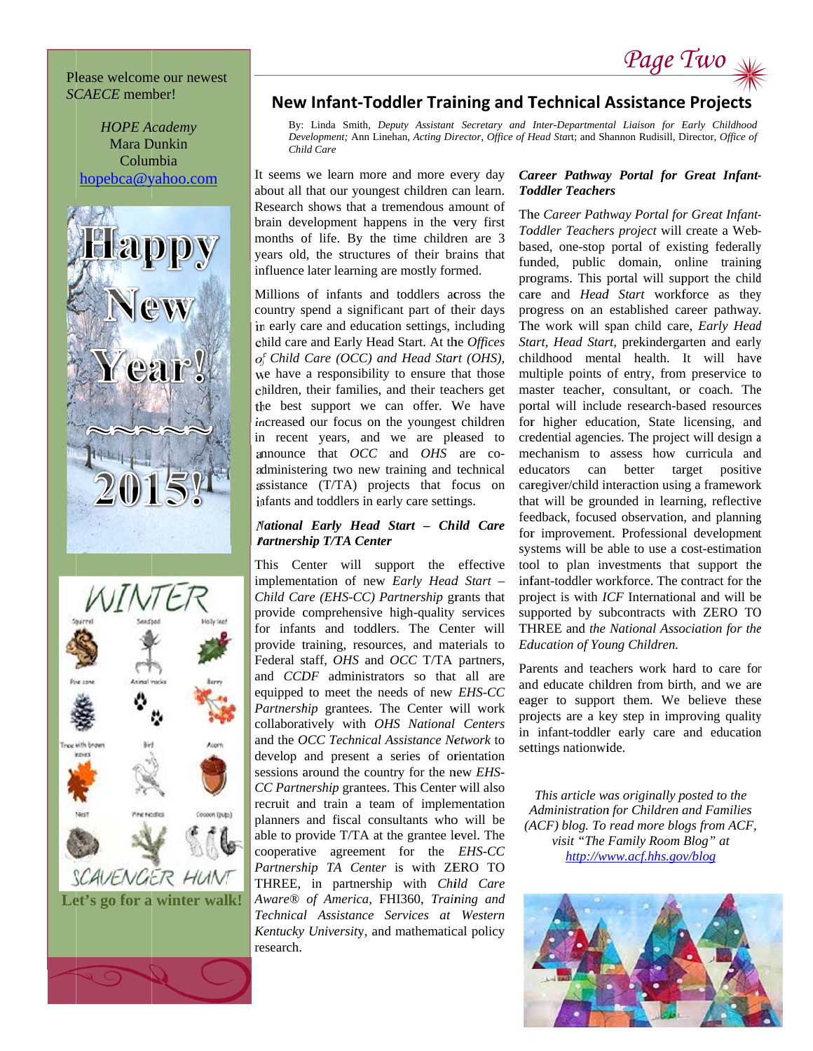#### Please welcome our newest **SCAECE** member!







## **New Infant-Toddler Training and Technical Assistance Projects**

By: Linda Smith, Deputy Assistant Secretary and Inter-Departmental Liaison for Early Childhood Development; Ann Linehan, Acting Director, Office of Head Start; and Shannon Rudisill, Director, Office of Child Care

It seems we learn more and more every day about all that our youngest children can learn. Research shows that a tremendous amount of brain development happens in the very first months of life. By the time children are 3 years old, the structures of their brains that influence later learning are mostly formed.

Millions of infants and toddlers across the country spend a significant part of their days in early care and education settings, including child care and Early Head Start. At the Offices of Child Care (OCC) and Head Start (OHS), we have a responsibility to ensure that those children, their families, and their teachers get the best support we can offer. We have increased our focus on the youngest children in recent years, and we are pleased to announce that OCC and OHS are coadministering two new training and technical assistance (T/TA) projects that focus on infants and toddlers in early care settings.

#### National Early Head Start - Child Care **Partnership T/TA Center**

This Center will support the effective implementation of new Early Head Start -Child Care (EHS-CC) Partnership grants that provide comprehensive high-quality services for infants and toddlers. The Center will provide training, resources, and materials to Federal staff, *OHS* and *OCC* T/TA partners, and *CCDF* administrators so that all are equipped to meet the needs of new EHS-CC Partnership grantees. The Center will work collaboratively with OHS National Centers and the OCC Technical Assistance Network to develop and present a series of orientation sessions around the country for the new EHS-CC Partnership grantees. This Center will also recruit and train a team of implementation planners and fiscal consultants who will be able to provide T/TA at the grantee level. The cooperative agreement for the *EHS-CC* Partnership TA Center is with ZERO TO THREE, in partnership with Child Care Aware<sup>®</sup> of America, FHI360, Training and Technical Assistance Services at Western Kentucky University, and mathematical policy research.

#### Career Pathway Portal for Great Infant-**Toddler Teachers**

Page Two

The Career Pathway Portal for Great Infant-Toddler Teachers project will create a Webbased, one-stop portal of existing federally funded, public domain, online training programs. This portal will support the child care and *Head Start* workforce as they progress on an established career pathway. The work will span child care, Early Head Start, Head Start, prekindergarten and early childhood mental health. It will have multiple points of entry, from preservice to master teacher, consultant, or coach. The portal will include research-based resources for higher education, State licensing, and credential agencies. The project will design a mechanism to assess how curricula and educators can better target positive caregiver/child interaction using a framework that will be grounded in learning, reflective feedback, focused observation, and planning for improvement. Professional development systems will be able to use a cost-estimation tool to plan investments that support the infant-toddler workforce. The contract for the project is with *ICF* International and will be supported by subcontracts with ZERO TO THREE and the National Association for the Education of Young Children.

Parents and teachers work hard to care for and educate children from birth, and we are eager to support them. We believe these projects are a key step in improving quality in infant-toddler early care and education settings nationwide.

This article was originally posted to the Administration for Children and Families (ACF) blog. To read more blogs from ACF, visit "The Family Room Blog" at http://www.acf.hhs.gov/blog

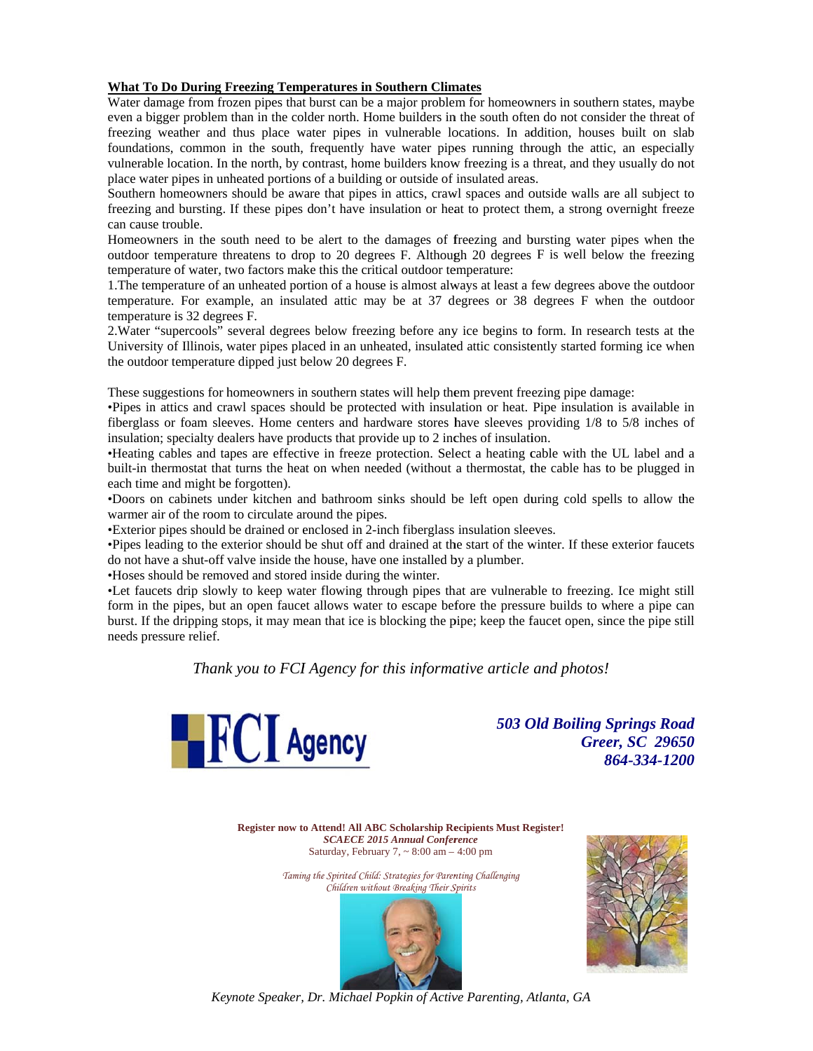#### **What To Do During Freezing Temperatures in Southern Climates**

Water damage from frozen pipes that burst can be a major problem for homeowners in southern states, maybe even a bigger problem than in the colder north. Home builders in the south often do not consider the threat of freezing weather and thus place water pipes in vulnerable locations. In addition, houses built on slab foundations, common in the south, frequently have water pipes running through the attic, an especially vulnerable location. In the north, by contrast, home builders know freezing is a threat, and they usually do not place water pipes in unheated portions of a building or outside of insulated areas.

Southern homeowners should be aware that pipes in attics, crawl spaces and outside walls are all subject to freezing and bursting. If these pipes don't have insulation or heat to protect them, a strong overnight freeze can cause trouble.

Homeowners in the south need to be alert to the damages of freezing and bursting water pipes when the outdoor temperature threatens to drop to 20 degrees F. Although 20 degrees F is well below the freezing temperature of water, two factors make this the critical outdoor temperature:

1. The temperature of an unheated portion of a house is almost always at least a few degrees above the outdoor temperature. For example, an insulated attic may be at 37 degrees or 38 degrees F when the outdoor temperature is 32 degrees F.

2. Water "supercools" several degrees below freezing before any ice begins to form. In research tests at the University of Illinois, water pipes placed in an unheated, insulated attic consistently started forming ice when the outdoor temperature dipped just below 20 degrees F.

These suggestions for homeowners in southern states will help them prevent freezing pipe damage:

•Pipes in attics and crawl spaces should be protected with insulation or heat. Pipe insulation is available in fiberglass or foam sleeves. Home centers and hardware stores have sleeves providing 1/8 to 5/8 inches of insulation; specialty dealers have products that provide up to 2 inches of insulation.

•Heating cables and tapes are effective in freeze protection. Select a heating cable with the UL label and a built-in thermostat that turns the heat on when needed (without a thermostat, the cable has to be plugged in each time and might be forgotten).

•Doors on cabinets under kitchen and bathroom sinks should be left open during cold spells to allow the warmer air of the room to circulate around the pipes.

• Exterior pipes should be drained or enclosed in 2-inch fiberglass insulation sleeves.

•Pipes leading to the exterior should be shut off and drained at the start of the winter. If these exterior faucets do not have a shut-off valve inside the house, have one installed by a plumber.

•Hoses should be removed and stored inside during the winter.

•Let faucets drip slowly to keep water flowing through pipes that are vulnerable to freezing. Ice might still form in the pipes, but an open faucet allows water to escape before the pressure builds to where a pipe can burst. If the dripping stops, it may mean that ice is blocking the pipe; keep the faucet open, since the pipe still needs pressure relief.

Thank you to FCI Agency for this informative article and photos!



**503 Old Boiling Springs Road Greer, SC 29650** 864-334-1200

Register now to Attend! All ABC Scholarship Recipients Must Register! **SCAECE 2015 Annual Conference** Saturday, February 7,  $\sim 8:00$  am  $-4:00$  pm

> Taming the Spirited Child: Strategies for Parenting Challenging Children without Breaking Their Spirits





Keynote Speaker, Dr. Michael Popkin of Active Parenting, Atlanta, GA